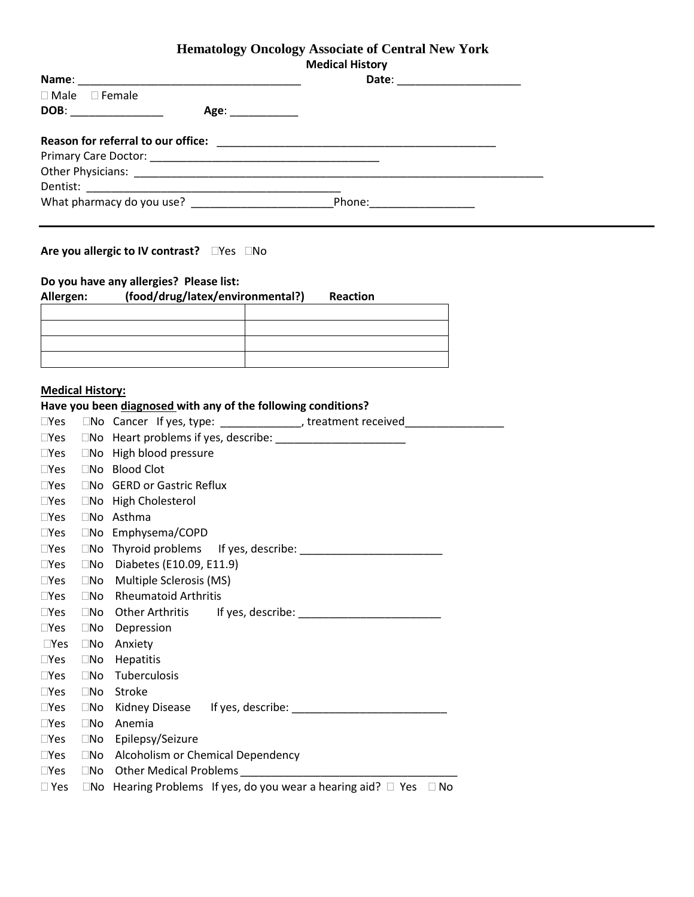## **Hematology Oncology Associate of Central New York**

| <b>Medical History</b> |  |
|------------------------|--|
|------------------------|--|

٦

|                           | Date: ____________________ |
|---------------------------|----------------------------|
| $\Box$ Male $\Box$ Female |                            |
| DOB: _____________        | Age: ____________          |
|                           |                            |
|                           |                            |
|                           |                            |
|                           |                            |
|                           |                            |
| What pharmacy do you use? |                            |

### **Are you allergic to IV contrast?** DYes ONO

### **Do you have any allergies? Please list:**

# **Allergen: (food/drug/latex/environmental?) Reaction**

### **Medical History:**

### **Have you been diagnosed with any of the following conditions?**

| $\square$ Yes |              | □No Cancer If yes, type: ______________, treatment received_____________________                                                                                                                                               |
|---------------|--------------|--------------------------------------------------------------------------------------------------------------------------------------------------------------------------------------------------------------------------------|
| $\square$ Yes | $\square$ No |                                                                                                                                                                                                                                |
| $\square$ Yes | $\square$ No | High blood pressure                                                                                                                                                                                                            |
| $\square$ Yes | $\square$ No | <b>Blood Clot</b>                                                                                                                                                                                                              |
| $\square$ Yes | $\Box$ No    | <b>GERD or Gastric Reflux</b>                                                                                                                                                                                                  |
| $\square$ Yes |              | □No High Cholesterol                                                                                                                                                                                                           |
| $\square$ Yes |              | $\square$ No Asthma                                                                                                                                                                                                            |
| $\square$ Yes |              | $\square$ No Emphysema/COPD                                                                                                                                                                                                    |
| $\square$ Yes | $\square$ No |                                                                                                                                                                                                                                |
| $\square$ Yes | $\square$ No | Diabetes (E10.09, E11.9)                                                                                                                                                                                                       |
| $\square$ Yes | $\square$ No | Multiple Sclerosis (MS)                                                                                                                                                                                                        |
| $\square$ Yes | $\square$ No | <b>Rheumatoid Arthritis</b>                                                                                                                                                                                                    |
| $\square$ Yes | $\square$ No | Other Arthritis If yes, describe: The Contract of the Contract of the Contract of the Contract of the Contract of the Contract of the Contract of the Contract of the Contract of the Contract of the Contract of the Contract |
| $\square$ Yes | $\square$ No | Depression                                                                                                                                                                                                                     |
| $\neg$ Yes    | $\square$ No | Anxiety                                                                                                                                                                                                                        |
| $\square$ Yes | $\square$ No | Hepatitis                                                                                                                                                                                                                      |
| $\square$ Yes | $\square$ No | Tuberculosis                                                                                                                                                                                                                   |
| $\square$ Yes | $\square$ No | <b>Stroke</b>                                                                                                                                                                                                                  |
| $\square$ Yes | $\square$ No |                                                                                                                                                                                                                                |
| $\square$ Yes | $\square$ No | Anemia                                                                                                                                                                                                                         |
| $\square$ Yes | $\square$ No | Epilepsy/Seizure                                                                                                                                                                                                               |
| $\square$ Yes | $\square$ No | Alcoholism or Chemical Dependency                                                                                                                                                                                              |
| $\square$ Yes | $\square$ No |                                                                                                                                                                                                                                |
| $\Box$ Yes    |              | $\Box$ No Hearing Problems If yes, do you wear a hearing aid? $\Box$ Yes $\Box$ No                                                                                                                                             |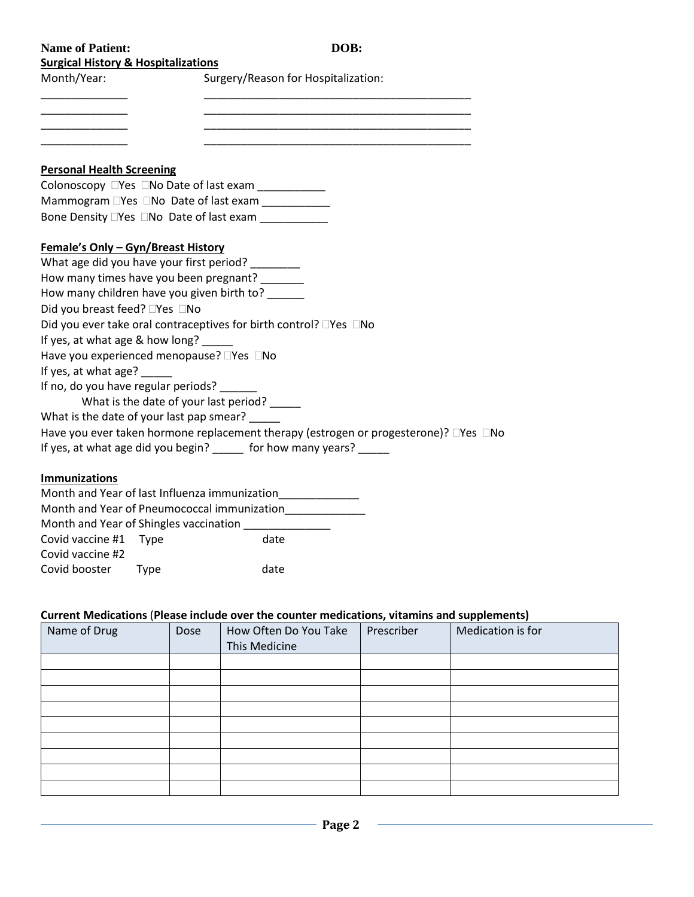| <b>Name of Patient:</b>             | DOB: |
|-------------------------------------|------|
| Cursical History & Hospitalizations |      |

| <b>Surgical History &amp; Hospitalizations</b> |  |  |  |
|------------------------------------------------|--|--|--|
|                                                |  |  |  |

Month/Year: Surgery/Reason for Hospitalization:

\_\_\_\_\_\_\_\_\_\_\_\_\_\_ \_\_\_\_\_\_\_\_\_\_\_\_\_\_\_\_\_\_\_\_\_\_\_\_\_\_\_\_\_\_\_\_\_\_\_\_\_\_\_\_\_\_\_ \_\_\_\_\_\_\_\_\_\_\_\_\_\_ \_\_\_\_\_\_\_\_\_\_\_\_\_\_\_\_\_\_\_\_\_\_\_\_\_\_\_\_\_\_\_\_\_\_\_\_\_\_\_\_\_\_\_

\_\_\_\_\_\_\_\_\_\_\_\_\_\_ \_\_\_\_\_\_\_\_\_\_\_\_\_\_\_\_\_\_\_\_\_\_\_\_\_\_\_\_\_\_\_\_\_\_\_\_\_\_\_\_\_\_\_

### **Personal Health Screening**

Colonoscopy  $\Box$  Yes  $\Box$  No Date of last exam  $\_\_\_\_\_\_\_\_\_\_\_\_\_\_\_\_\_\_$ Mammogram  $\Box$ Yes  $\Box$ No Date of last exam Bone Density  $\Box$ Yes  $\Box$ No Date of last exam

### **Female's Only – Gyn/Breast History**

What age did you have your first period? How many times have you been pregnant? \_\_\_\_\_\_\_ How many children have you given birth to? \_\_\_\_\_ Did you breast feed?  $\Box$  Yes  $\Box$  No Did you ever take oral contraceptives for birth control?  $\Box$ Yes  $\Box$ No If yes, at what age & how long? Have you experienced menopause?  $\Box$ Yes  $\Box$ No If yes, at what age? \_ If no, do you have regular periods? \_\_\_\_ What is the date of your last period? What is the date of your last pap smear? \_\_\_\_\_ Have you ever taken hormone replacement therapy (estrogen or progesterone)?  $\Box$ Yes  $\Box$ No If yes, at what age did you begin? \_\_\_\_\_ for how many years? \_\_\_\_\_

### **Immunizations**

| Month and Year of last Influenza immunization |                                        |      |  |  |
|-----------------------------------------------|----------------------------------------|------|--|--|
| Month and Year of Pneumococcal immunization   |                                        |      |  |  |
|                                               | Month and Year of Shingles vaccination |      |  |  |
| Covid vaccine #1 Type                         |                                        | date |  |  |
| Covid vaccine #2                              |                                        |      |  |  |
| Covid booster<br>date<br><b>L</b> VDE         |                                        |      |  |  |

### **Current Medications** (**Please include over the counter medications, vitamins and supplements)**

| Name of Drug | Dose | How Often Do You Take<br>This Medicine | Prescriber | Medication is for |
|--------------|------|----------------------------------------|------------|-------------------|
|              |      |                                        |            |                   |
|              |      |                                        |            |                   |
|              |      |                                        |            |                   |
|              |      |                                        |            |                   |
|              |      |                                        |            |                   |
|              |      |                                        |            |                   |
|              |      |                                        |            |                   |
|              |      |                                        |            |                   |
|              |      |                                        |            |                   |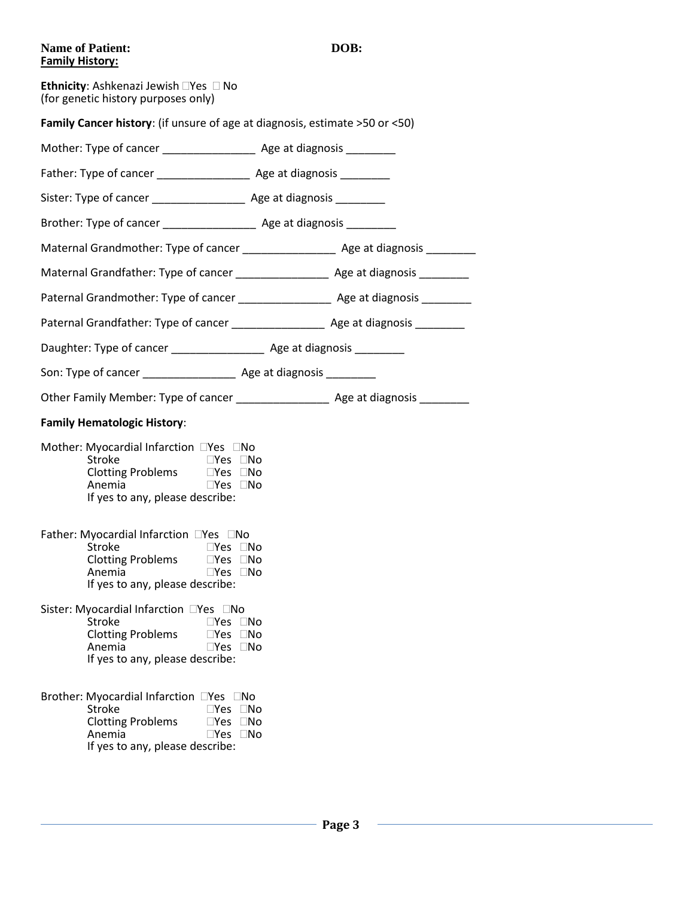### **DOB:**

| <b>Name of Patient:</b> |
|-------------------------|
| <b>Family History:</b>  |

| <b>Ethnicity:</b> Ashkenazi Jewish $\Box$ Yes $\Box$ No<br>(for genetic history purposes only)                                                                                                                              |  |
|-----------------------------------------------------------------------------------------------------------------------------------------------------------------------------------------------------------------------------|--|
| Family Cancer history: (if unsure of age at diagnosis, estimate >50 or <50)                                                                                                                                                 |  |
| Mother: Type of cancer ________________________ Age at diagnosis __________                                                                                                                                                 |  |
|                                                                                                                                                                                                                             |  |
| Sister: Type of cancer _______________________ Age at diagnosis __________                                                                                                                                                  |  |
| Brother: Type of cancer _______________________ Age at diagnosis __________                                                                                                                                                 |  |
| Maternal Grandmother: Type of cancer _______________________ Age at diagnosis ________                                                                                                                                      |  |
|                                                                                                                                                                                                                             |  |
|                                                                                                                                                                                                                             |  |
| Paternal Grandfather: Type of cancer Theorem Age at diagnosis                                                                                                                                                               |  |
| Daughter: Type of cancer ________________________ Age at diagnosis ____________                                                                                                                                             |  |
|                                                                                                                                                                                                                             |  |
|                                                                                                                                                                                                                             |  |
| <b>Family Hematologic History:</b>                                                                                                                                                                                          |  |
| Mother: Myocardial Infarction DYes DNo<br><b>Stroke</b><br>$\Box$ Yes $\Box$ No<br>Clotting Problems □Yes □No<br>$\square$ Yes $\square$ No<br>Anemia<br>If yes to any, please describe:                                    |  |
| Father: Myocardial Infarction □Yes □No<br><b>Stroke</b><br>⊟Yes ⊟No<br>Anemia<br>$\square$ Yes $\square$ No<br>If yes to any, please describe:                                                                              |  |
| Sister: Myocardial Infarction □Yes □No<br><b>Stroke</b><br>$\Box$ Yes $\Box$ No<br><b>Clotting Problems</b><br>$\square$ Yes<br>$\Box$ No<br>Anemia<br>$\neg$ Yes $\neg$ No<br>If yes to any, please describe:              |  |
| Brother: Myocardial Infarction □Yes □No<br><b>Stroke</b><br>$\square$ Yes $\square$ No<br><b>Clotting Problems</b><br>$\square$ No<br>$\neg$ Yes<br>Anemia<br>$\square$ Yes $\square$ No<br>If yes to any, please describe: |  |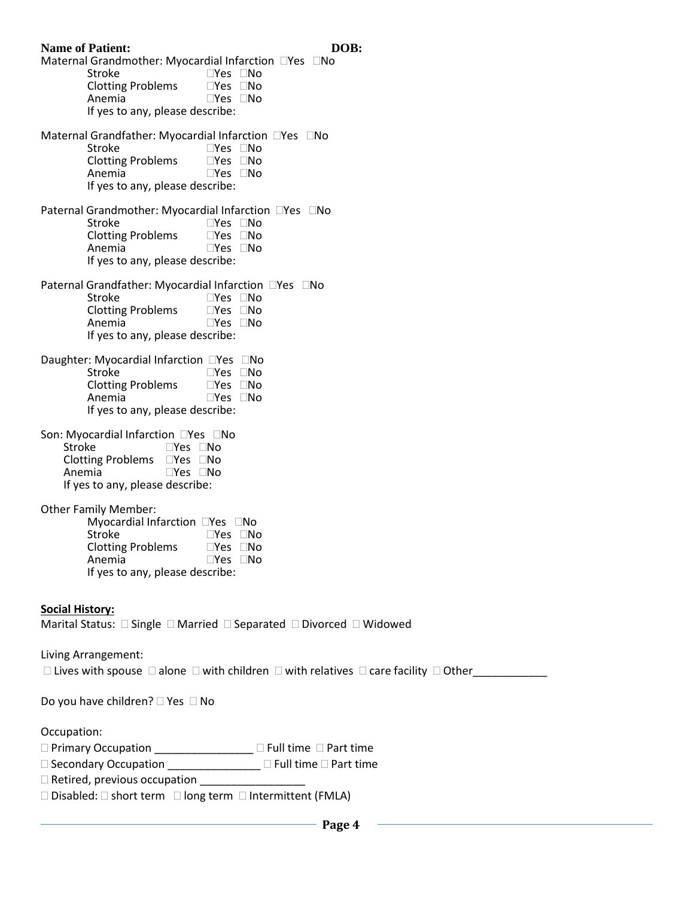| <b>Name of Patient:</b>                                                                                                          | DOB: |
|----------------------------------------------------------------------------------------------------------------------------------|------|
| Maternal Grandmother: Myocardial Infarction □Yes □No<br><b>Stroke</b><br>$\square$ Yes $\square$ No                              |      |
| <b>Clotting Problems</b><br>$\square$ Yes $\square$ No<br>Anemia<br>$\square$ Yes $\square$ No                                   |      |
| If yes to any, please describe:                                                                                                  |      |
| Maternal Grandfather: Myocardial Infarction □Yes □No<br>Stroke<br>$\square$ Yes $\square$ No                                     |      |
| <b>Clotting Problems</b><br>$\square$ Yes $\square$ No<br>$\Box$ Yes $\Box$ No                                                   |      |
| Anemia<br>If yes to any, please describe:                                                                                        |      |
| Paternal Grandmother: Myocardial Infarction □Yes □No                                                                             |      |
| Stroke<br>$\square$ Yes $\square$ No<br><b>Clotting Problems</b><br>$\square$ Yes $\square$ No                                   |      |
| Anemia<br>$\square$ Yes $\square$ No                                                                                             |      |
| If yes to any, please describe:                                                                                                  |      |
| Paternal Grandfather: Myocardial Infarction □Yes □No<br>Stroke<br>$\square$ Yes $\square$ No                                     |      |
| <b>Clotting Problems</b><br>$\square$ Yes $\square$ No                                                                           |      |
| Anemia<br>$\square$ Yes $\square$ No<br>If yes to any, please describe:                                                          |      |
| Daughter: Myocardial Infarction □Yes □No                                                                                         |      |
| Stroke<br>$\Box$ Yes $\Box$ No                                                                                                   |      |
| <b>Clotting Problems</b><br>$\square$ Yes $\square$ No<br>Anemia<br>$\square$ Yes $\square$ No                                   |      |
| If yes to any, please describe:                                                                                                  |      |
| Son: Myocardial Infarction □Yes □No<br>Stroke<br>$\square$ Yes $\square$ No                                                      |      |
| Clotting Problems □Yes □No                                                                                                       |      |
| Anemia<br>$\square$ Yes $\square$ No<br>If yes to any, please describe:                                                          |      |
| <b>Other Family Member:</b>                                                                                                      |      |
| Myocardial Infarction □Yes □No                                                                                                   |      |
| Stroke<br>$\square$ Yes $\square$ No<br>Clotting Problems<br><u>IYes</u> INo                                                     |      |
| Anemia<br>$\square$ Yes $\square$ No<br>If yes to any, please describe:                                                          |      |
|                                                                                                                                  |      |
| <b>Social History:</b>                                                                                                           |      |
| Marital Status: □ Single □ Married □ Separated □ Divorced □ Widowed                                                              |      |
| Living Arrangement:                                                                                                              |      |
| $\Box$ Lives with spouse $\Box$ alone $\Box$ with children $\Box$ with relatives $\Box$ care facility $\Box$ Other               |      |
| Do you have children? $\Box$ Yes $\Box$ No                                                                                       |      |
| Occupation:                                                                                                                      |      |
| □ Primary Occupation _______________ □ Full time □ Part time<br>$\Box$ Secondary Occupation<br>$\Box$ Full time $\Box$ Part time |      |

 $\Box$  Secondary Occupation \_\_\_\_\_\_\_\_\_\_\_\_\_\_\_  $\Box$  Full time  $\Box$  Part time

Retired, previous occupation \_\_\_\_\_\_\_\_\_\_\_\_\_\_\_\_\_

 $\square$  Disabled:  $\square$  short term  $\square$  long term  $\square$  Intermittent (FMLA)